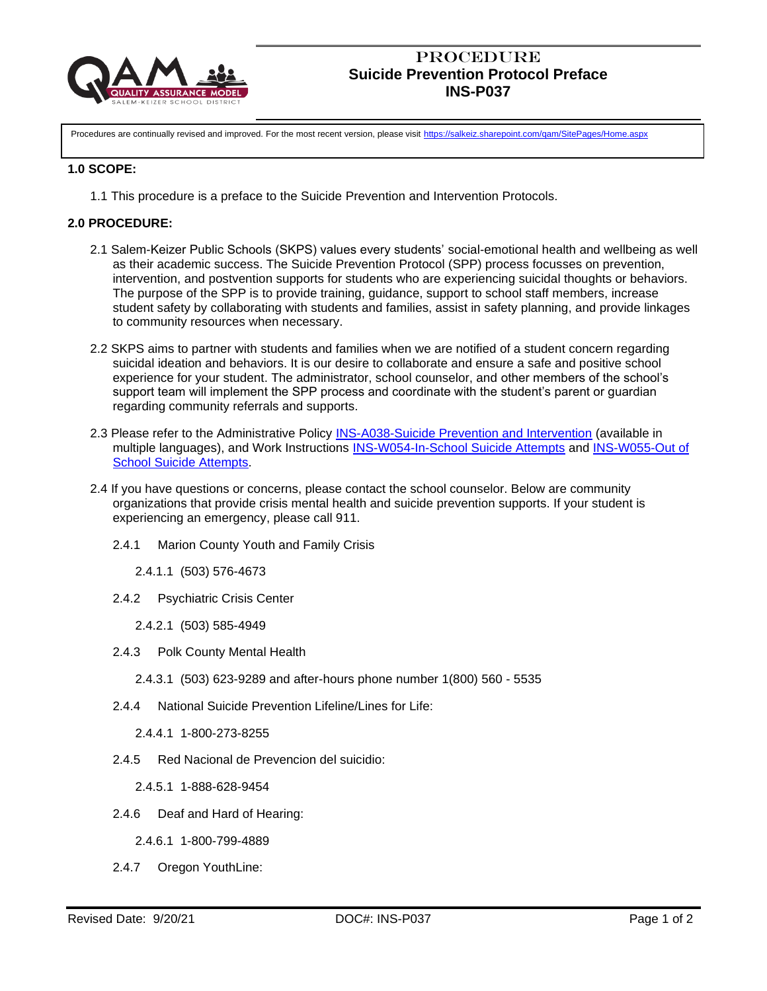

# **PROCEDURE Suicide Prevention Protocol Preface INS-P037**

Procedures are continually revised and improved. For the most recent version, please visit <https://salkeiz.sharepoint.com/qam/SitePages/Home.aspx>

### **1.0 SCOPE:**

1.1 This procedure is a preface to the Suicide Prevention and Intervention Protocols.

### **2.0 PROCEDURE:**

- 2.1 Salem-Keizer Public Schools (SKPS) values every students' social-emotional health and wellbeing as well as their academic success. The Suicide Prevention Protocol (SPP) process focusses on prevention, intervention, and postvention supports for students who are experiencing suicidal thoughts or behaviors. The purpose of the SPP is to provide training, guidance, support to school staff members, increase student safety by collaborating with students and families, assist in safety planning, and provide linkages to community resources when necessary.
- 2.2 SKPS aims to partner with students and families when we are notified of a student concern regarding suicidal ideation and behaviors. It is our desire to collaborate and ensure a safe and positive school experience for your student. The administrator, school counselor, and other members of the school's support team will implement the SPP process and coordinate with the student's parent or guardian regarding community referrals and supports.
- 2.3 Please refer to the Administrative Policy [INS-A038-Suicide Prevention and Intervention](https://salkeiz.sharepoint.com/:b:/g/qam/EQMVbBGsI9VFlOWbTZUHb4EBkh9BGl0lEqkYVekzkWMCkg) (available in multiple languages), and Work Instructions [INS-W054-In-School Suicide Attempts](https://salkeiz.sharepoint.com/:b:/g/qam/EWidtqyW-xtMg2AEB1qrxIQBI7l-uPdvznsY0XVZg-gP9Q) and [INS-W055-Out of](https://salkeiz.sharepoint.com/:b:/g/qam/ERYwXZPBPKVCgBQe25WjBfABcq5_B6uZcY-9bbbs0t90UQ)  [School Suicide Attempts.](https://salkeiz.sharepoint.com/:b:/g/qam/ERYwXZPBPKVCgBQe25WjBfABcq5_B6uZcY-9bbbs0t90UQ)
- 2.4 If you have questions or concerns, please contact the school counselor. Below are community organizations that provide crisis mental health and suicide prevention supports. If your student is experiencing an emergency, please call 911.
	- 2.4.1 Marion County Youth and Family Crisis

2.4.1.1 (503) 576-4673

2.4.2 Psychiatric Crisis Center

2.4.2.1 (503) 585-4949

- 2.4.3 Polk County Mental Health
	- 2.4.3.1 (503) 623-9289 and after-hours phone number 1(800) 560 5535
- 2.4.4 National Suicide Prevention Lifeline/Lines for Life:

2.4.4.1 1-800-273-8255

2.4.5 Red Nacional de Prevencion del suicidio:

2.4.5.1 1-888-628-9454

- 2.4.6 Deaf and Hard of Hearing:
	- 2.4.6.1 1-800-799-4889
- 2.4.7 Oregon YouthLine: